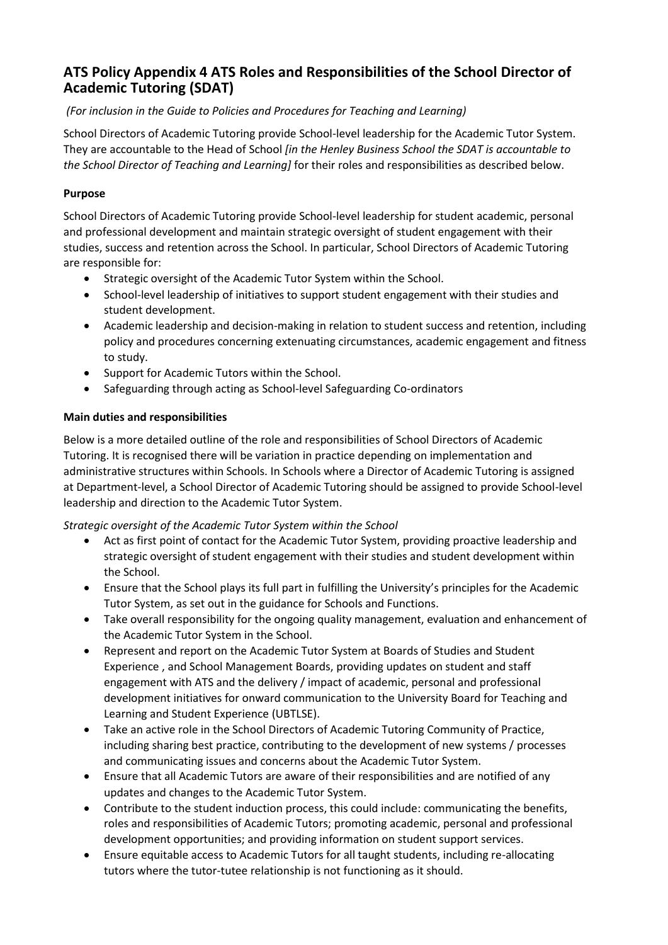## **ATS Policy Appendix 4 ATS Roles and Responsibilities of the School Director of Academic Tutoring (SDAT)**

## *(For inclusion in the Guide to Policies and Procedures for Teaching and Learning)*

School Directors of Academic Tutoring provide School-level leadership for the Academic Tutor System. They are accountable to the Head of School *[in the Henley Business School the SDAT is accountable to the School Director of Teaching and Learning]* for their roles and responsibilities as described below.

#### **Purpose**

School Directors of Academic Tutoring provide School-level leadership for student academic, personal and professional development and maintain strategic oversight of student engagement with their studies, success and retention across the School. In particular, School Directors of Academic Tutoring are responsible for:

- Strategic oversight of the Academic Tutor System within the School.
- School-level leadership of initiatives to support student engagement with their studies and student development.
- Academic leadership and decision-making in relation to student success and retention, including policy and procedures concerning extenuating circumstances, academic engagement and fitness to study.
- Support for Academic Tutors within the School.
- Safeguarding through acting as School-level Safeguarding Co-ordinators

## **Main duties and responsibilities**

Below is a more detailed outline of the role and responsibilities of School Directors of Academic Tutoring. It is recognised there will be variation in practice depending on implementation and administrative structures within Schools. In Schools where a Director of Academic Tutoring is assigned at Department-level, a School Director of Academic Tutoring should be assigned to provide School-level leadership and direction to the Academic Tutor System.

#### *Strategic oversight of the Academic Tutor System within the School*

- Act as first point of contact for the Academic Tutor System, providing proactive leadership and strategic oversight of student engagement with their studies and student development within the School.
- Ensure that the School plays its full part in fulfilling the University's principles for the Academic Tutor System, as set out in the guidance for Schools and Functions.
- Take overall responsibility for the ongoing quality management, evaluation and enhancement of the Academic Tutor System in the School.
- Represent and report on the Academic Tutor System at Boards of Studies and Student Experience , and School Management Boards, providing updates on student and staff engagement with ATS and the delivery / impact of academic, personal and professional development initiatives for onward communication to the University Board for Teaching and Learning and Student Experience (UBTLSE).
- Take an active role in the School Directors of Academic Tutoring Community of Practice, including sharing best practice, contributing to the development of new systems / processes and communicating issues and concerns about the Academic Tutor System.
- Ensure that all Academic Tutors are aware of their responsibilities and are notified of any updates and changes to the Academic Tutor System.
- Contribute to the student induction process, this could include: communicating the benefits, roles and responsibilities of Academic Tutors; promoting academic, personal and professional development opportunities; and providing information on student support services.
- Ensure equitable access to Academic Tutors for all taught students, including re-allocating tutors where the tutor-tutee relationship is not functioning as it should.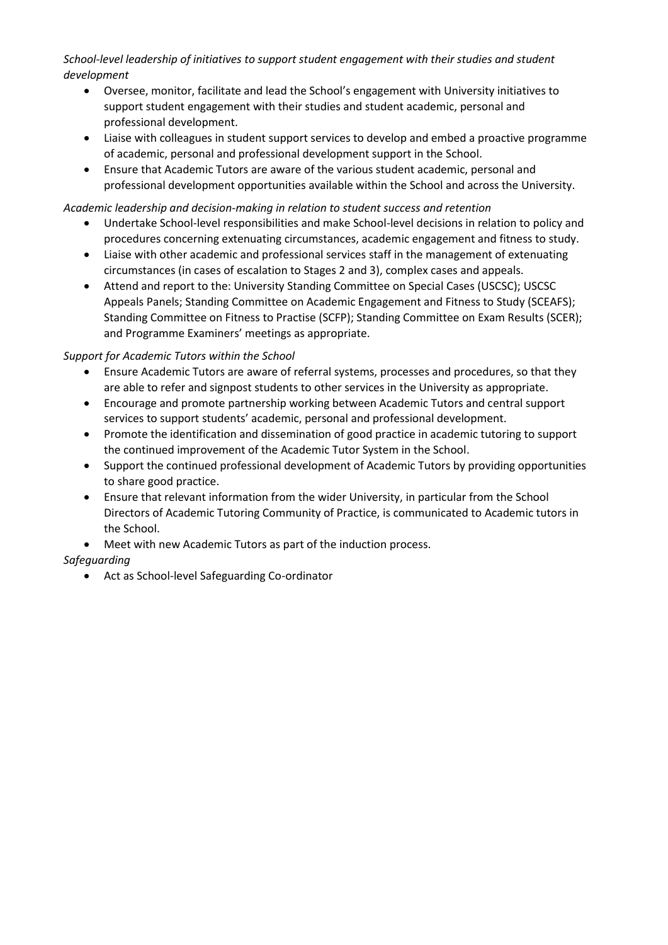*School-level leadership of initiatives to support student engagement with their studies and student development*

- Oversee, monitor, facilitate and lead the School's engagement with University initiatives to support student engagement with their studies and student academic, personal and professional development.
- Liaise with colleagues in student support services to develop and embed a proactive programme of academic, personal and professional development support in the School.
- Ensure that Academic Tutors are aware of the various student academic, personal and professional development opportunities available within the School and across the University.

#### *Academic leadership and decision-making in relation to student success and retention*

- Undertake School-level responsibilities and make School-level decisions in relation to policy and procedures concerning extenuating circumstances, academic engagement and fitness to study.
- Liaise with other academic and professional services staff in the management of extenuating circumstances (in cases of escalation to Stages 2 and 3), complex cases and appeals.
- Attend and report to the: University Standing Committee on Special Cases (USCSC); USCSC Appeals Panels; Standing Committee on Academic Engagement and Fitness to Study (SCEAFS); Standing Committee on Fitness to Practise (SCFP); Standing Committee on Exam Results (SCER); and Programme Examiners' meetings as appropriate.

## *Support for Academic Tutors within the School*

- Ensure Academic Tutors are aware of referral systems, processes and procedures, so that they are able to refer and signpost students to other services in the University as appropriate.
- Encourage and promote partnership working between Academic Tutors and central support services to support students' academic, personal and professional development.
- Promote the identification and dissemination of good practice in academic tutoring to support the continued improvement of the Academic Tutor System in the School.
- Support the continued professional development of Academic Tutors by providing opportunities to share good practice.
- Ensure that relevant information from the wider University, in particular from the School Directors of Academic Tutoring Community of Practice, is communicated to Academic tutors in the School.
- Meet with new Academic Tutors as part of the induction process.

## *Safeguarding*

• Act as School-level Safeguarding Co-ordinator